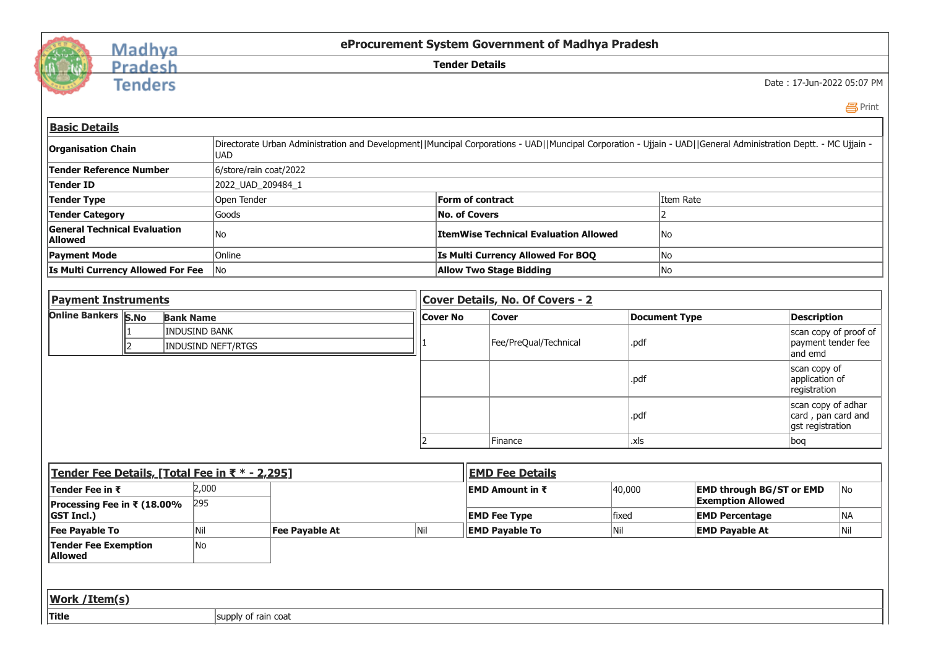

## Madhya<br>Pradesh

**Tenders** 

**eProcurement System Government of Madhya Pradesh**

**Tender Details**

Date : 17-Jun-2022 05:07 PM

Print

| <b>Basic Details</b>                                  |                                            |                                                                                                                                                                 |                |                  |                                              |        |                       |                                                             |                                                              |                                                        |  |
|-------------------------------------------------------|--------------------------------------------|-----------------------------------------------------------------------------------------------------------------------------------------------------------------|----------------|------------------|----------------------------------------------|--------|-----------------------|-------------------------------------------------------------|--------------------------------------------------------------|--------------------------------------------------------|--|
| <b>Organisation Chain</b>                             | <b>UAD</b>                                 | Directorate Urban Administration and Development  Muncipal Corporations - UAD  Muncipal Corporation - Ujjain - UAD  General Administration Deptt. - MC Ujjain - |                |                  |                                              |        |                       |                                                             |                                                              |                                                        |  |
| <b>Tender Reference Number</b>                        |                                            | 6/store/rain coat/2022                                                                                                                                          |                |                  |                                              |        |                       |                                                             |                                                              |                                                        |  |
| Tender ID                                             | 2022_UAD_209484_1                          |                                                                                                                                                                 |                |                  |                                              |        |                       |                                                             |                                                              |                                                        |  |
| <b>Tender Type</b><br>Open Tender                     |                                            |                                                                                                                                                                 |                | Form of contract |                                              |        |                       | Item Rate                                                   |                                                              |                                                        |  |
| <b>Tender Category</b>                                |                                            | <b>No. of Covers</b>                                                                                                                                            |                |                  | $\overline{2}$                               |        |                       |                                                             |                                                              |                                                        |  |
| <b>General Technical Evaluation</b><br><b>Allowed</b> | No                                         |                                                                                                                                                                 |                |                  | <b>ItemWise Technical Evaluation Allowed</b> | No     |                       |                                                             |                                                              |                                                        |  |
| <b>Payment Mode</b>                                   | Online                                     |                                                                                                                                                                 |                |                  | Is Multi Currency Allowed For BOQ            |        | No                    |                                                             |                                                              |                                                        |  |
| Is Multi Currency Allowed For Fee                     | <b>Allow Two Stage Bidding</b><br>No<br>No |                                                                                                                                                                 |                |                  |                                              |        |                       |                                                             |                                                              |                                                        |  |
|                                                       |                                            |                                                                                                                                                                 |                |                  |                                              |        |                       |                                                             |                                                              |                                                        |  |
| <b>Payment Instruments</b>                            |                                            |                                                                                                                                                                 |                |                  | Cover Details, No. Of Covers - 2             |        |                       |                                                             |                                                              |                                                        |  |
| <b>Online Bankers S.No</b><br><b>Bank Name</b>        |                                            |                                                                                                                                                                 |                |                  | <b>Cover</b>                                 |        | <b>Document Type</b>  |                                                             | <b>Description</b>                                           |                                                        |  |
| <b>INDUSIND BANK</b><br><b>INDUSIND NEFT/RTGS</b>     |                                            |                                                                                                                                                                 |                |                  | Fee/PreQual/Technical                        | .pdf   |                       |                                                             |                                                              | scan copy of proof of<br>payment tender fee<br>and emd |  |
|                                                       |                                            |                                                                                                                                                                 |                |                  |                                              | .pdf   |                       |                                                             | scan copy of<br>application of<br>registration               |                                                        |  |
|                                                       |                                            |                                                                                                                                                                 |                |                  |                                              | .pdf   |                       |                                                             | scan copy of adhar<br>card, pan card and<br>gst registration |                                                        |  |
|                                                       |                                            |                                                                                                                                                                 | $\overline{2}$ | Finance          |                                              |        | .xls                  |                                                             |                                                              | boq                                                    |  |
|                                                       |                                            |                                                                                                                                                                 |                |                  |                                              |        |                       |                                                             |                                                              |                                                        |  |
| Tender Fee Details, [Total Fee in ₹ * - 2,295]        |                                            |                                                                                                                                                                 |                |                  | <b>EMD Fee Details</b>                       |        |                       |                                                             |                                                              |                                                        |  |
| Tender Fee in ₹<br>Processing Fee in ₹ (18.00%        | 2,000<br>295                               |                                                                                                                                                                 |                |                  | EMD Amount in ₹                              | 40,000 |                       | <b>EMD through BG/ST or EMD</b><br><b>Exemption Allowed</b> |                                                              | No                                                     |  |
| <b>GST Incl.)</b>                                     |                                            |                                                                                                                                                                 |                |                  | <b>EMD Fee Type</b>                          | fixed  | <b>EMD Percentage</b> |                                                             |                                                              | NA                                                     |  |
| <b>Fee Payable To</b>                                 | Nil                                        | <b>Fee Payable At</b>                                                                                                                                           | Nil            |                  | <b>EMD Payable To</b>                        | Nil    |                       | <b>EMD Payable At</b>                                       |                                                              | Nil                                                    |  |
| <b>Tender Fee Exemption</b><br><b>Allowed</b>         | No                                         |                                                                                                                                                                 |                |                  |                                              |        |                       |                                                             |                                                              |                                                        |  |
|                                                       |                                            |                                                                                                                                                                 |                |                  |                                              |        |                       |                                                             |                                                              |                                                        |  |
| Work / Item(s)                                        |                                            |                                                                                                                                                                 |                |                  |                                              |        |                       |                                                             |                                                              |                                                        |  |
| <b>Title</b>                                          | supply of rain coat                        |                                                                                                                                                                 |                |                  |                                              |        |                       |                                                             |                                                              |                                                        |  |